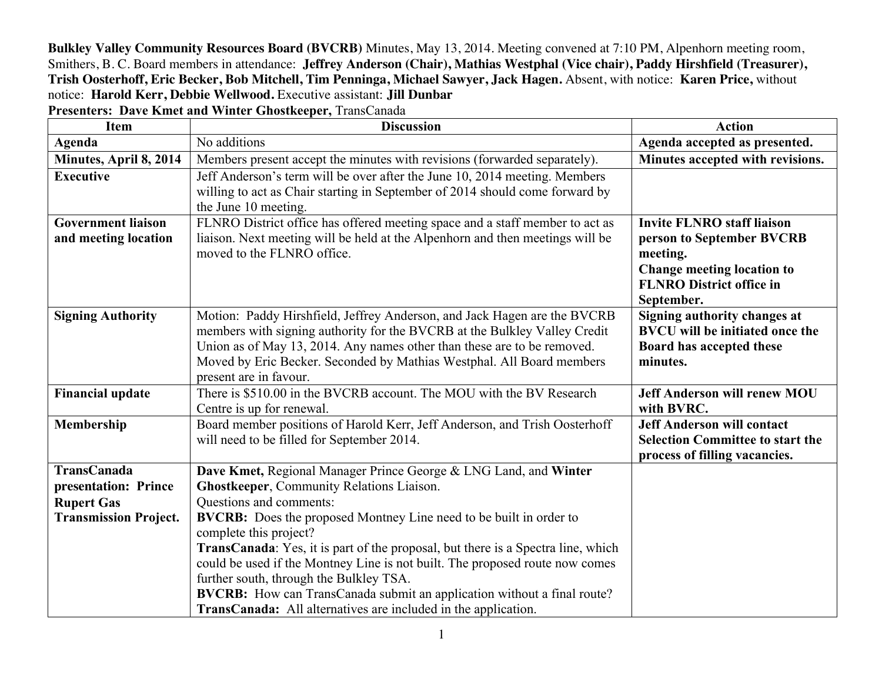**Bulkley Valley Community Resources Board (BVCRB)** Minutes, May 13, 2014. Meeting convened at 7:10 PM, Alpenhorn meeting room, Smithers, B. C. Board members in attendance: **Jeffrey Anderson (Chair), Mathias Westphal (Vice chair), Paddy Hirshfield (Treasurer), Trish Oosterhoff, Eric Becker, Bob Mitchell, Tim Penninga, Michael Sawyer, Jack Hagen.** Absent, with notice: **Karen Price,** without notice: **Harold Kerr, Debbie Wellwood.** Executive assistant: **Jill Dunbar**

**Presenters: Dave Kmet and Winter Ghostkeeper,** TransCanada

| <b>Item</b>                                       | <b>Discussion</b>                                                                                                                                                                                                                                                                                                                                                                                                                                                             | <b>Action</b>                                                                                                                                                    |
|---------------------------------------------------|-------------------------------------------------------------------------------------------------------------------------------------------------------------------------------------------------------------------------------------------------------------------------------------------------------------------------------------------------------------------------------------------------------------------------------------------------------------------------------|------------------------------------------------------------------------------------------------------------------------------------------------------------------|
| Agenda                                            | No additions                                                                                                                                                                                                                                                                                                                                                                                                                                                                  | Agenda accepted as presented.                                                                                                                                    |
| Minutes, April 8, 2014                            | Members present accept the minutes with revisions (forwarded separately).                                                                                                                                                                                                                                                                                                                                                                                                     | Minutes accepted with revisions.                                                                                                                                 |
| <b>Executive</b>                                  | Jeff Anderson's term will be over after the June 10, 2014 meeting. Members<br>willing to act as Chair starting in September of 2014 should come forward by<br>the June 10 meeting.                                                                                                                                                                                                                                                                                            |                                                                                                                                                                  |
| <b>Government liaison</b><br>and meeting location | FLNRO District office has offered meeting space and a staff member to act as<br>liaison. Next meeting will be held at the Alpenhorn and then meetings will be<br>moved to the FLNRO office.                                                                                                                                                                                                                                                                                   | <b>Invite FLNRO staff liaison</b><br>person to September BVCRB<br>meeting.<br><b>Change meeting location to</b><br><b>FLNRO District office in</b><br>September. |
| <b>Signing Authority</b>                          | Motion: Paddy Hirshfield, Jeffrey Anderson, and Jack Hagen are the BVCRB<br>members with signing authority for the BVCRB at the Bulkley Valley Credit<br>Union as of May 13, 2014. Any names other than these are to be removed.<br>Moved by Eric Becker. Seconded by Mathias Westphal. All Board members<br>present are in favour.                                                                                                                                           | Signing authority changes at<br><b>BVCU</b> will be initiated once the<br>Board has accepted these<br>minutes.                                                   |
| <b>Financial update</b>                           | There is \$510.00 in the BVCRB account. The MOU with the BV Research<br>Centre is up for renewal.                                                                                                                                                                                                                                                                                                                                                                             | <b>Jeff Anderson will renew MOU</b><br>with BVRC.                                                                                                                |
| Membership                                        | Board member positions of Harold Kerr, Jeff Anderson, and Trish Oosterhoff<br>will need to be filled for September 2014.                                                                                                                                                                                                                                                                                                                                                      | <b>Jeff Anderson will contact</b><br><b>Selection Committee to start the</b><br>process of filling vacancies.                                                    |
| <b>TransCanada</b>                                | Dave Kmet, Regional Manager Prince George & LNG Land, and Winter                                                                                                                                                                                                                                                                                                                                                                                                              |                                                                                                                                                                  |
| presentation: Prince                              | <b>Ghostkeeper, Community Relations Liaison.</b>                                                                                                                                                                                                                                                                                                                                                                                                                              |                                                                                                                                                                  |
| <b>Rupert Gas</b>                                 | Questions and comments:                                                                                                                                                                                                                                                                                                                                                                                                                                                       |                                                                                                                                                                  |
| <b>Transmission Project.</b>                      | <b>BVCRB:</b> Does the proposed Montney Line need to be built in order to<br>complete this project?<br><b>TransCanada:</b> Yes, it is part of the proposal, but there is a Spectra line, which<br>could be used if the Montney Line is not built. The proposed route now comes<br>further south, through the Bulkley TSA.<br>BVCRB: How can TransCanada submit an application without a final route?<br><b>TransCanada:</b> All alternatives are included in the application. |                                                                                                                                                                  |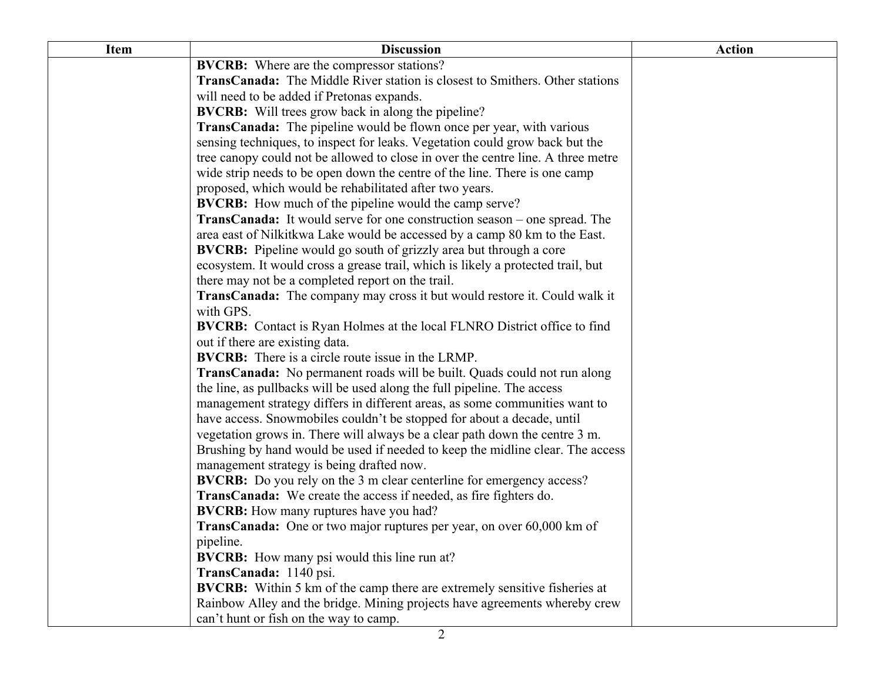| <b>Item</b> | <b>Discussion</b>                                                                   | <b>Action</b> |
|-------------|-------------------------------------------------------------------------------------|---------------|
|             | <b>BVCRB:</b> Where are the compressor stations?                                    |               |
|             | <b>TransCanada:</b> The Middle River station is closest to Smithers. Other stations |               |
|             | will need to be added if Pretonas expands.                                          |               |
|             | <b>BVCRB:</b> Will trees grow back in along the pipeline?                           |               |
|             | <b>TransCanada:</b> The pipeline would be flown once per year, with various         |               |
|             | sensing techniques, to inspect for leaks. Vegetation could grow back but the        |               |
|             | tree canopy could not be allowed to close in over the centre line. A three metre    |               |
|             | wide strip needs to be open down the centre of the line. There is one camp          |               |
|             | proposed, which would be rehabilitated after two years.                             |               |
|             | <b>BVCRB:</b> How much of the pipeline would the camp serve?                        |               |
|             | <b>TransCanada:</b> It would serve for one construction season – one spread. The    |               |
|             | area east of Nilkitkwa Lake would be accessed by a camp 80 km to the East.          |               |
|             | <b>BVCRB:</b> Pipeline would go south of grizzly area but through a core            |               |
|             | ecosystem. It would cross a grease trail, which is likely a protected trail, but    |               |
|             | there may not be a completed report on the trail.                                   |               |
|             | <b>TransCanada:</b> The company may cross it but would restore it. Could walk it    |               |
|             | with GPS.                                                                           |               |
|             | <b>BVCRB:</b> Contact is Ryan Holmes at the local FLNRO District office to find     |               |
|             | out if there are existing data.                                                     |               |
|             | <b>BVCRB:</b> There is a circle route issue in the LRMP.                            |               |
|             | <b>TransCanada:</b> No permanent roads will be built. Quads could not run along     |               |
|             | the line, as pullbacks will be used along the full pipeline. The access             |               |
|             | management strategy differs in different areas, as some communities want to         |               |
|             | have access. Snowmobiles couldn't be stopped for about a decade, until              |               |
|             | vegetation grows in. There will always be a clear path down the centre 3 m.         |               |
|             | Brushing by hand would be used if needed to keep the midline clear. The access      |               |
|             | management strategy is being drafted now.                                           |               |
|             | <b>BVCRB:</b> Do you rely on the 3 m clear centerline for emergency access?         |               |
|             | TransCanada: We create the access if needed, as fire fighters do.                   |               |
|             | <b>BVCRB:</b> How many ruptures have you had?                                       |               |
|             | <b>TransCanada:</b> One or two major ruptures per year, on over 60,000 km of        |               |
|             | pipeline.                                                                           |               |
|             | <b>BVCRB:</b> How many psi would this line run at?                                  |               |
|             | TransCanada: 1140 psi.                                                              |               |
|             | <b>BVCRB:</b> Within 5 km of the camp there are extremely sensitive fisheries at    |               |
|             | Rainbow Alley and the bridge. Mining projects have agreements whereby crew          |               |
|             | can't hunt or fish on the way to camp.                                              |               |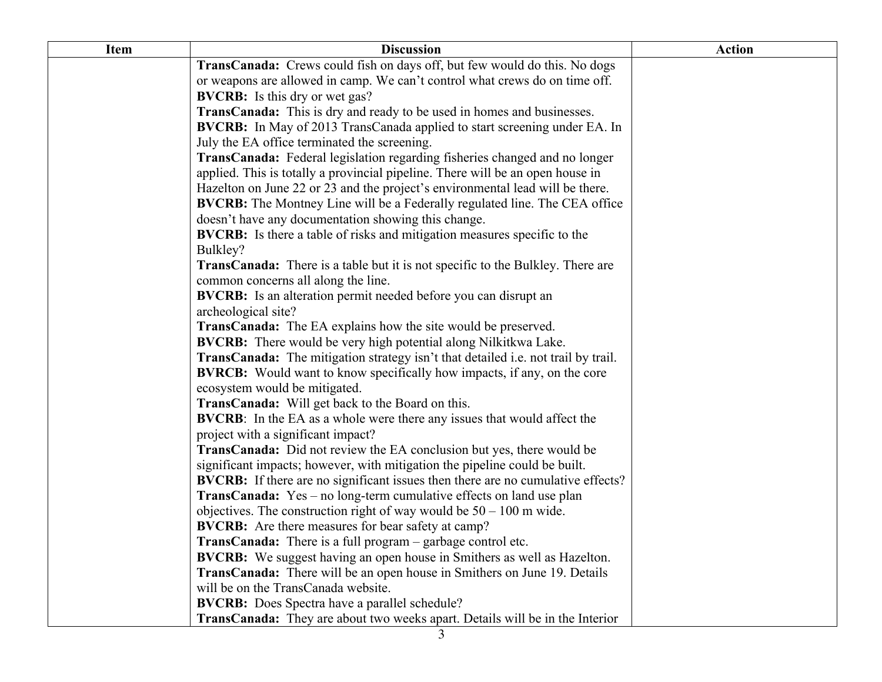| <b>Item</b> | <b>Discussion</b>                                                                      | <b>Action</b> |
|-------------|----------------------------------------------------------------------------------------|---------------|
|             | TransCanada: Crews could fish on days off, but few would do this. No dogs              |               |
|             | or weapons are allowed in camp. We can't control what crews do on time off.            |               |
|             | <b>BVCRB:</b> Is this dry or wet gas?                                                  |               |
|             | TransCanada: This is dry and ready to be used in homes and businesses.                 |               |
|             | <b>BVCRB:</b> In May of 2013 TransCanada applied to start screening under EA. In       |               |
|             | July the EA office terminated the screening.                                           |               |
|             | TransCanada: Federal legislation regarding fisheries changed and no longer             |               |
|             | applied. This is totally a provincial pipeline. There will be an open house in         |               |
|             | Hazelton on June 22 or 23 and the project's environmental lead will be there.          |               |
|             | <b>BVCRB:</b> The Montney Line will be a Federally regulated line. The CEA office      |               |
|             | doesn't have any documentation showing this change.                                    |               |
|             | <b>BVCRB:</b> Is there a table of risks and mitigation measures specific to the        |               |
|             | Bulkley?                                                                               |               |
|             | <b>TransCanada:</b> There is a table but it is not specific to the Bulkley. There are  |               |
|             | common concerns all along the line.                                                    |               |
|             | <b>BVCRB:</b> Is an alteration permit needed before you can disrupt an                 |               |
|             | archeological site?                                                                    |               |
|             | <b>TransCanada:</b> The EA explains how the site would be preserved.                   |               |
|             | <b>BVCRB:</b> There would be very high potential along Nilkitkwa Lake.                 |               |
|             | TransCanada: The mitigation strategy isn't that detailed i.e. not trail by trail.      |               |
|             | <b>BVRCB:</b> Would want to know specifically how impacts, if any, on the core         |               |
|             | ecosystem would be mitigated.                                                          |               |
|             | <b>TransCanada:</b> Will get back to the Board on this.                                |               |
|             | <b>BVCRB:</b> In the EA as a whole were there any issues that would affect the         |               |
|             | project with a significant impact?                                                     |               |
|             | TransCanada: Did not review the EA conclusion but yes, there would be                  |               |
|             | significant impacts; however, with mitigation the pipeline could be built.             |               |
|             | <b>BVCRB:</b> If there are no significant issues then there are no cumulative effects? |               |
|             | <b>TransCanada:</b> Yes – no long-term cumulative effects on land use plan             |               |
|             | objectives. The construction right of way would be $50 - 100$ m wide.                  |               |
|             | <b>BVCRB:</b> Are there measures for bear safety at camp?                              |               |
|             | TransCanada: There is a full program - garbage control etc.                            |               |
|             | <b>BVCRB:</b> We suggest having an open house in Smithers as well as Hazelton.         |               |
|             | <b>TransCanada:</b> There will be an open house in Smithers on June 19. Details        |               |
|             | will be on the TransCanada website.                                                    |               |
|             | <b>BVCRB:</b> Does Spectra have a parallel schedule?                                   |               |
|             | <b>TransCanada:</b> They are about two weeks apart. Details will be in the Interior    |               |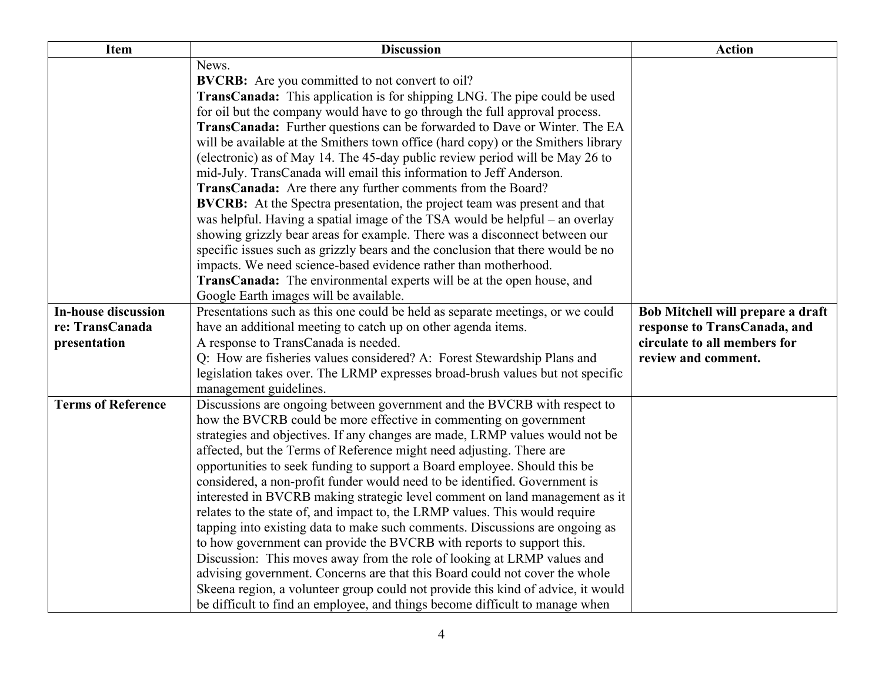| <b>Item</b>                | <b>Discussion</b>                                                                                  | <b>Action</b>                     |
|----------------------------|----------------------------------------------------------------------------------------------------|-----------------------------------|
|                            | News.                                                                                              |                                   |
|                            | <b>BVCRB:</b> Are you committed to not convert to oil?                                             |                                   |
|                            | <b>TransCanada:</b> This application is for shipping LNG. The pipe could be used                   |                                   |
|                            | for oil but the company would have to go through the full approval process.                        |                                   |
|                            | TransCanada: Further questions can be forwarded to Dave or Winter. The EA                          |                                   |
|                            | will be available at the Smithers town office (hard copy) or the Smithers library                  |                                   |
|                            | (electronic) as of May 14. The 45-day public review period will be May 26 to                       |                                   |
|                            | mid-July. TransCanada will email this information to Jeff Anderson.                                |                                   |
|                            | TransCanada: Are there any further comments from the Board?                                        |                                   |
|                            | <b>BVCRB:</b> At the Spectra presentation, the project team was present and that                   |                                   |
|                            | was helpful. Having a spatial image of the TSA would be helpful – an overlay                       |                                   |
|                            | showing grizzly bear areas for example. There was a disconnect between our                         |                                   |
|                            | specific issues such as grizzly bears and the conclusion that there would be no                    |                                   |
|                            | impacts. We need science-based evidence rather than motherhood.                                    |                                   |
|                            | TransCanada: The environmental experts will be at the open house, and                              |                                   |
|                            | Google Earth images will be available.                                                             |                                   |
| <b>In-house discussion</b> | Presentations such as this one could be held as separate meetings, or we could                     | Bob Mitchell will prepare a draft |
| re: TransCanada            | have an additional meeting to catch up on other agenda items.                                      | response to TransCanada, and      |
| presentation               | A response to TransCanada is needed.                                                               | circulate to all members for      |
|                            | Q: How are fisheries values considered? A: Forest Stewardship Plans and                            | review and comment.               |
|                            | legislation takes over. The LRMP expresses broad-brush values but not specific                     |                                   |
| <b>Terms of Reference</b>  | management guidelines.<br>Discussions are ongoing between government and the BVCRB with respect to |                                   |
|                            | how the BVCRB could be more effective in commenting on government                                  |                                   |
|                            | strategies and objectives. If any changes are made, LRMP values would not be                       |                                   |
|                            | affected, but the Terms of Reference might need adjusting. There are                               |                                   |
|                            | opportunities to seek funding to support a Board employee. Should this be                          |                                   |
|                            | considered, a non-profit funder would need to be identified. Government is                         |                                   |
|                            | interested in BVCRB making strategic level comment on land management as it                        |                                   |
|                            | relates to the state of, and impact to, the LRMP values. This would require                        |                                   |
|                            | tapping into existing data to make such comments. Discussions are ongoing as                       |                                   |
|                            | to how government can provide the BVCRB with reports to support this.                              |                                   |
|                            | Discussion: This moves away from the role of looking at LRMP values and                            |                                   |
|                            | advising government. Concerns are that this Board could not cover the whole                        |                                   |
|                            | Skeena region, a volunteer group could not provide this kind of advice, it would                   |                                   |
|                            | be difficult to find an employee, and things become difficult to manage when                       |                                   |